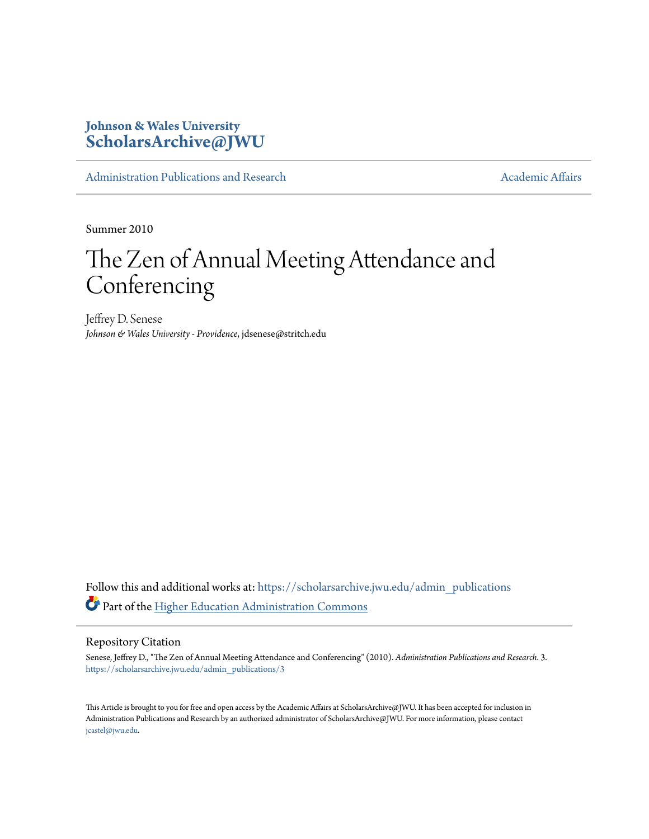## **Johnson & Wales University [ScholarsArchive@JWU](https://scholarsarchive.jwu.edu?utm_source=scholarsarchive.jwu.edu%2Fadmin_publications%2F3&utm_medium=PDF&utm_campaign=PDFCoverPages)**

[Administration Publications and Research](https://scholarsarchive.jwu.edu/admin_publications?utm_source=scholarsarchive.jwu.edu%2Fadmin_publications%2F3&utm_medium=PDF&utm_campaign=PDFCoverPages) [Academic Affairs](https://scholarsarchive.jwu.edu/ac_affairs?utm_source=scholarsarchive.jwu.edu%2Fadmin_publications%2F3&utm_medium=PDF&utm_campaign=PDFCoverPages) Academic Affairs

Summer 2010

# The Zen of Annual Meeting Attendance and Conferencing

Jeffrey D. Senese *Johnson & Wales University - Providence*, jdsenese@stritch.edu

Follow this and additional works at: [https://scholarsarchive.jwu.edu/admin\\_publications](https://scholarsarchive.jwu.edu/admin_publications?utm_source=scholarsarchive.jwu.edu%2Fadmin_publications%2F3&utm_medium=PDF&utm_campaign=PDFCoverPages) Part of the [Higher Education Administration Commons](http://network.bepress.com/hgg/discipline/791?utm_source=scholarsarchive.jwu.edu%2Fadmin_publications%2F3&utm_medium=PDF&utm_campaign=PDFCoverPages)

#### Repository Citation

Senese, Jeffrey D., "The Zen of Annual Meeting Attendance and Conferencing" (2010). *Administration Publications and Research*. 3. [https://scholarsarchive.jwu.edu/admin\\_publications/3](https://scholarsarchive.jwu.edu/admin_publications/3?utm_source=scholarsarchive.jwu.edu%2Fadmin_publications%2F3&utm_medium=PDF&utm_campaign=PDFCoverPages)

This Article is brought to you for free and open access by the Academic Affairs at ScholarsArchive@JWU. It has been accepted for inclusion in Administration Publications and Research by an authorized administrator of ScholarsArchive@JWU. For more information, please contact [jcastel@jwu.edu.](mailto:jcastel@jwu.edu)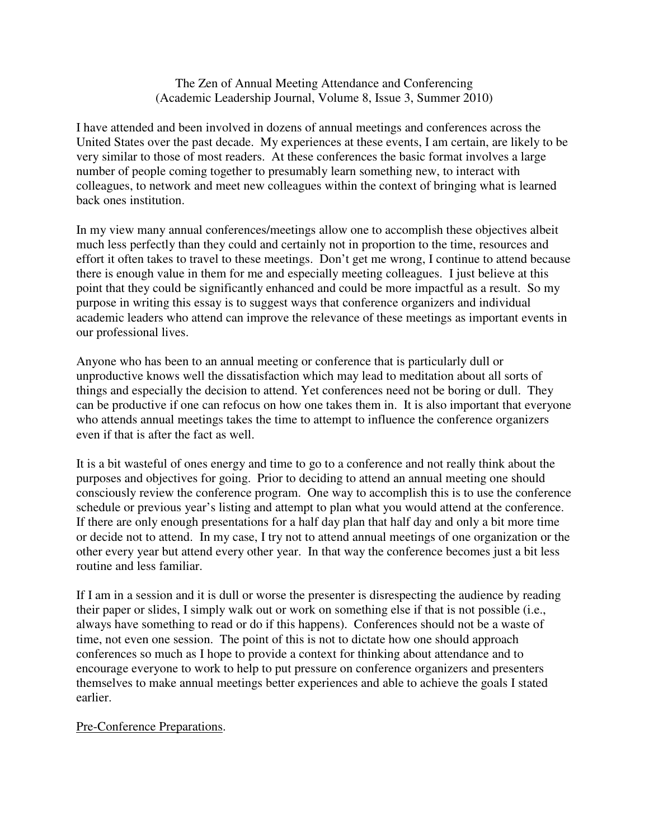#### The Zen of Annual Meeting Attendance and Conferencing (Academic Leadership Journal, Volume 8, Issue 3, Summer 2010)

I have attended and been involved in dozens of annual meetings and conferences across the United States over the past decade. My experiences at these events, I am certain, are likely to be very similar to those of most readers. At these conferences the basic format involves a large number of people coming together to presumably learn something new, to interact with colleagues, to network and meet new colleagues within the context of bringing what is learned back ones institution.

In my view many annual conferences/meetings allow one to accomplish these objectives albeit much less perfectly than they could and certainly not in proportion to the time, resources and effort it often takes to travel to these meetings. Don't get me wrong, I continue to attend because there is enough value in them for me and especially meeting colleagues. I just believe at this point that they could be significantly enhanced and could be more impactful as a result. So my purpose in writing this essay is to suggest ways that conference organizers and individual academic leaders who attend can improve the relevance of these meetings as important events in our professional lives.

Anyone who has been to an annual meeting or conference that is particularly dull or unproductive knows well the dissatisfaction which may lead to meditation about all sorts of things and especially the decision to attend. Yet conferences need not be boring or dull. They can be productive if one can refocus on how one takes them in. It is also important that everyone who attends annual meetings takes the time to attempt to influence the conference organizers even if that is after the fact as well.

It is a bit wasteful of ones energy and time to go to a conference and not really think about the purposes and objectives for going. Prior to deciding to attend an annual meeting one should consciously review the conference program. One way to accomplish this is to use the conference schedule or previous year's listing and attempt to plan what you would attend at the conference. If there are only enough presentations for a half day plan that half day and only a bit more time or decide not to attend. In my case, I try not to attend annual meetings of one organization or the other every year but attend every other year. In that way the conference becomes just a bit less routine and less familiar.

If I am in a session and it is dull or worse the presenter is disrespecting the audience by reading their paper or slides, I simply walk out or work on something else if that is not possible (i.e., always have something to read or do if this happens). Conferences should not be a waste of time, not even one session. The point of this is not to dictate how one should approach conferences so much as I hope to provide a context for thinking about attendance and to encourage everyone to work to help to put pressure on conference organizers and presenters themselves to make annual meetings better experiences and able to achieve the goals I stated earlier.

#### Pre-Conference Preparations.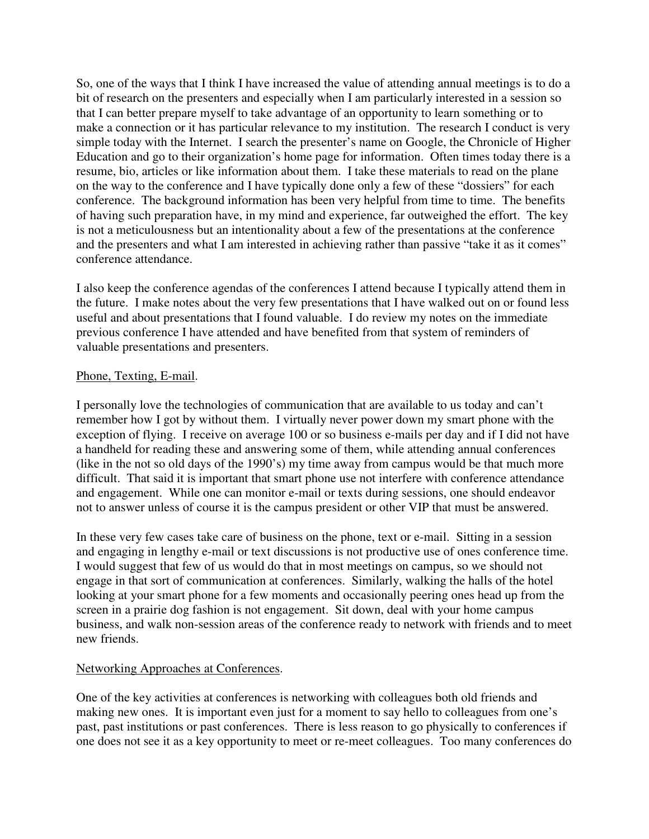So, one of the ways that I think I have increased the value of attending annual meetings is to do a bit of research on the presenters and especially when I am particularly interested in a session so that I can better prepare myself to take advantage of an opportunity to learn something or to make a connection or it has particular relevance to my institution. The research I conduct is very simple today with the Internet. I search the presenter's name on Google, the Chronicle of Higher Education and go to their organization's home page for information. Often times today there is a resume, bio, articles or like information about them. I take these materials to read on the plane on the way to the conference and I have typically done only a few of these "dossiers" for each conference. The background information has been very helpful from time to time. The benefits of having such preparation have, in my mind and experience, far outweighed the effort. The key is not a meticulousness but an intentionality about a few of the presentations at the conference and the presenters and what I am interested in achieving rather than passive "take it as it comes" conference attendance.

I also keep the conference agendas of the conferences I attend because I typically attend them in the future. I make notes about the very few presentations that I have walked out on or found less useful and about presentations that I found valuable. I do review my notes on the immediate previous conference I have attended and have benefited from that system of reminders of valuable presentations and presenters.

#### Phone, Texting, E-mail.

I personally love the technologies of communication that are available to us today and can't remember how I got by without them. I virtually never power down my smart phone with the exception of flying. I receive on average 100 or so business e-mails per day and if I did not have a handheld for reading these and answering some of them, while attending annual conferences (like in the not so old days of the 1990's) my time away from campus would be that much more difficult. That said it is important that smart phone use not interfere with conference attendance and engagement. While one can monitor e-mail or texts during sessions, one should endeavor not to answer unless of course it is the campus president or other VIP that must be answered.

In these very few cases take care of business on the phone, text or e-mail. Sitting in a session and engaging in lengthy e-mail or text discussions is not productive use of ones conference time. I would suggest that few of us would do that in most meetings on campus, so we should not engage in that sort of communication at conferences. Similarly, walking the halls of the hotel looking at your smart phone for a few moments and occasionally peering ones head up from the screen in a prairie dog fashion is not engagement. Sit down, deal with your home campus business, and walk non-session areas of the conference ready to network with friends and to meet new friends.

#### Networking Approaches at Conferences.

One of the key activities at conferences is networking with colleagues both old friends and making new ones. It is important even just for a moment to say hello to colleagues from one's past, past institutions or past conferences. There is less reason to go physically to conferences if one does not see it as a key opportunity to meet or re-meet colleagues. Too many conferences do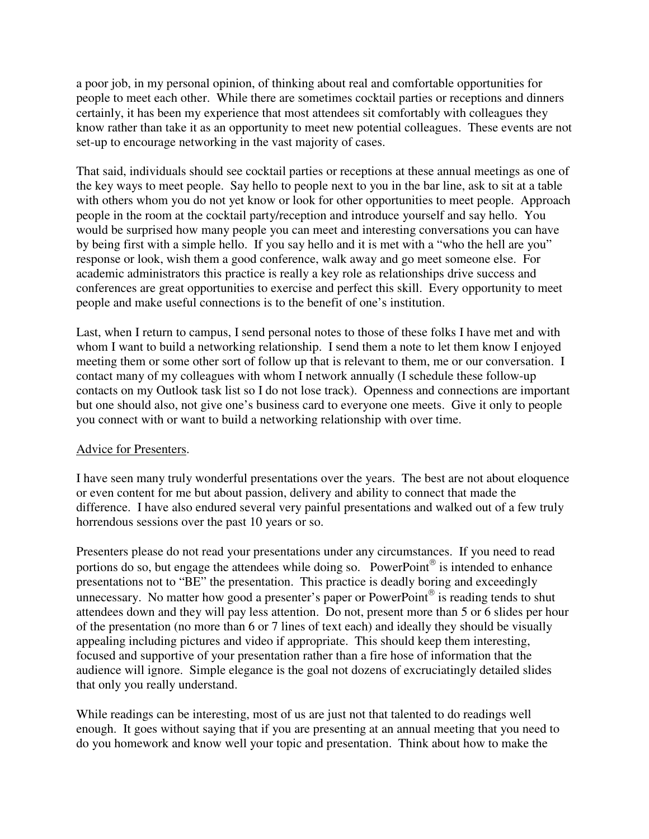a poor job, in my personal opinion, of thinking about real and comfortable opportunities for people to meet each other. While there are sometimes cocktail parties or receptions and dinners certainly, it has been my experience that most attendees sit comfortably with colleagues they know rather than take it as an opportunity to meet new potential colleagues. These events are not set-up to encourage networking in the vast majority of cases.

That said, individuals should see cocktail parties or receptions at these annual meetings as one of the key ways to meet people. Say hello to people next to you in the bar line, ask to sit at a table with others whom you do not yet know or look for other opportunities to meet people. Approach people in the room at the cocktail party/reception and introduce yourself and say hello. You would be surprised how many people you can meet and interesting conversations you can have by being first with a simple hello. If you say hello and it is met with a "who the hell are you" response or look, wish them a good conference, walk away and go meet someone else. For academic administrators this practice is really a key role as relationships drive success and conferences are great opportunities to exercise and perfect this skill. Every opportunity to meet people and make useful connections is to the benefit of one's institution.

Last, when I return to campus, I send personal notes to those of these folks I have met and with whom I want to build a networking relationship. I send them a note to let them know I enjoyed meeting them or some other sort of follow up that is relevant to them, me or our conversation. I contact many of my colleagues with whom I network annually (I schedule these follow-up contacts on my Outlook task list so I do not lose track). Openness and connections are important but one should also, not give one's business card to everyone one meets. Give it only to people you connect with or want to build a networking relationship with over time.

### Advice for Presenters.

I have seen many truly wonderful presentations over the years. The best are not about eloquence or even content for me but about passion, delivery and ability to connect that made the difference. I have also endured several very painful presentations and walked out of a few truly horrendous sessions over the past 10 years or so.

Presenters please do not read your presentations under any circumstances. If you need to read portions do so, but engage the attendees while doing so. PowerPoint<sup>®</sup> is intended to enhance presentations not to "BE" the presentation. This practice is deadly boring and exceedingly unnecessary. No matter how good a presenter's paper or PowerPoint<sup>®</sup> is reading tends to shut attendees down and they will pay less attention. Do not, present more than 5 or 6 slides per hour of the presentation (no more than 6 or 7 lines of text each) and ideally they should be visually appealing including pictures and video if appropriate. This should keep them interesting, focused and supportive of your presentation rather than a fire hose of information that the audience will ignore. Simple elegance is the goal not dozens of excruciatingly detailed slides that only you really understand.

While readings can be interesting, most of us are just not that talented to do readings well enough. It goes without saying that if you are presenting at an annual meeting that you need to do you homework and know well your topic and presentation. Think about how to make the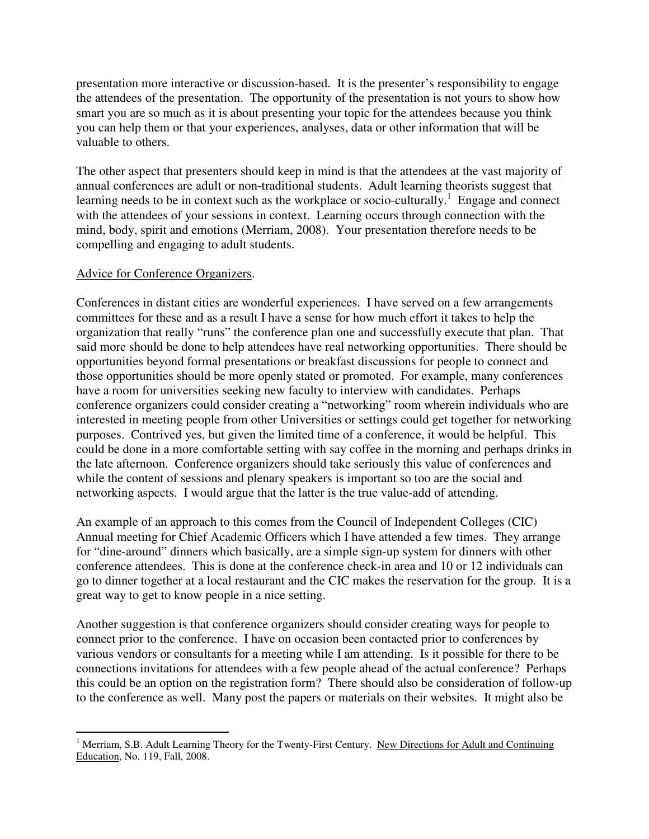presentation more interactive or discussion-based. It is the presenter's responsibility to engage the attendees of the presentation. The opportunity of the presentation is not yours to show how smart you are so much as it is about presenting your topic for the attendees because you think you can help them or that your experiences, analyses, data or other information that will be valuable to others.

The other aspect that presenters should keep in mind is that the attendees at the vast majority of annual conferences are adult or non-traditional students. Adult learning theorists suggest that learning needs to be in context such as the workplace or socio-culturally.<sup>1</sup> Engage and connect with the attendees of your sessions in context. Learning occurs through connection with the mind, body, spirit and emotions (Merriam, 2008). Your presentation therefore needs to be compelling and engaging to adult students.

#### Advice for Conference Organizers.

Conferences in distant cities are wonderful experiences. I have served on a few arrangements committees for these and as a result I have a sense for how much effort it takes to help the organization that really "runs" the conference plan one and successfully execute that plan. That said more should be done to help attendees have real networking opportunities. There should be opportunities beyond formal presentations or breakfast discussions for people to connect and those opportunities should be more openly stated or promoted. For example, many conferences have a room for universities seeking new faculty to interview with candidates. Perhaps conference organizers could consider creating a "networking" room wherein individuals who are interested in meeting people from other Universities or settings could get together for networking purposes. Contrived yes, but given the limited time of a conference, it would be helpful. This could be done in a more comfortable setting with say coffee in the morning and perhaps drinks in the late afternoon. Conference organizers should take seriously this value of conferences and while the content of sessions and plenary speakers is important so too are the social and networking aspects. I would argue that the latter is the true value-add of attending.

An example of an approach to this comes from the Council of Independent Colleges (CIC) Annual meeting for Chief Academic Officers which I have attended a few times. They arrange for "dine-around" dinners which basically, are a simple sign-up system for dinners with other conference attendees. This is done at the conference check-in area and 10 or 12 individuals can go to dinner together at a local restaurant and the CIC makes the reservation for the group. It is a great way to get to know people in a nice setting.

Another suggestion is that conference organizers should consider creating ways for people to connect prior to the conference. I have on occasion been contacted prior to conferences by various vendors or consultants for a meeting while I am attending. Is it possible for there to be connections invitations for attendees with a few people ahead of the actual conference? Perhaps this could be an option on the registration form? There should also be consideration of follow-up to the conference as well. Many post the papers or materials on their websites. It might also be

 $\overline{a}$ <sup>1</sup> Merriam, S.B. Adult Learning Theory for the Twenty-First Century. New Directions for Adult and Continuing Education, No. 119, Fall, 2008.